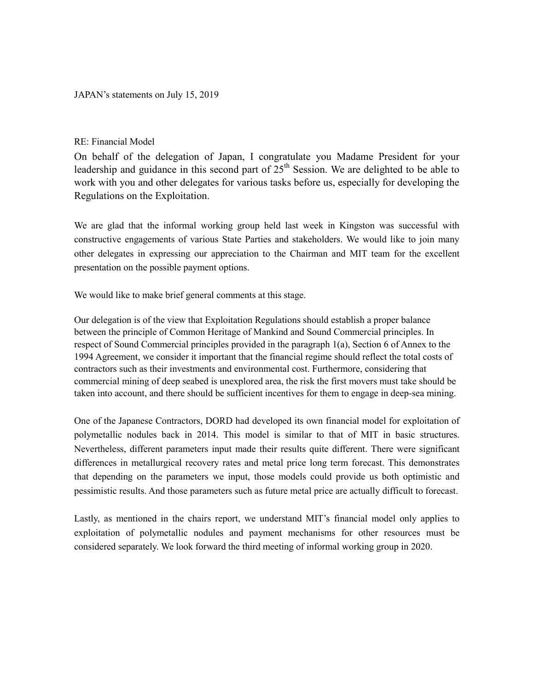## JAPAN's statements on July 15, 2019

## RE: Financial Model

On behalf of the delegation of Japan, I congratulate you Madame President for your leadership and guidance in this second part of  $25<sup>th</sup>$  Session. We are delighted to be able to work with you and other delegates for various tasks before us, especially for developing the Regulations on the Exploitation.

We are glad that the informal working group held last week in Kingston was successful with constructive engagements of various State Parties and stakeholders. We would like to join many other delegates in expressing our appreciation to the Chairman and MIT team for the excellent presentation on the possible payment options.

We would like to make brief general comments at this stage.

Our delegation is of the view that Exploitation Regulations should establish a proper balance between the principle of Common Heritage of Mankind and Sound Commercial principles. In respect of Sound Commercial principles provided in the paragraph 1(a), Section 6 of Annex to the 1994 Agreement, we consider it important that the financial regime should reflect the total costs of contractors such as their investments and environmental cost. Furthermore, considering that commercial mining of deep seabed is unexplored area, the risk the first movers must take should be taken into account, and there should be sufficient incentives for them to engage in deep-sea mining.

One of the Japanese Contractors, DORD had developed its own financial model for exploitation of polymetallic nodules back in 2014. This model is similar to that of MIT in basic structures. Nevertheless, different parameters input made their results quite different. There were significant differences in metallurgical recovery rates and metal price long term forecast. This demonstrates that depending on the parameters we input, those models could provide us both optimistic and pessimistic results. And those parameters such as future metal price are actually difficult to forecast.

Lastly, as mentioned in the chairs report, we understand MIT's financial model only applies to exploitation of polymetallic nodules and payment mechanisms for other resources must be considered separately. We look forward the third meeting of informal working group in 2020.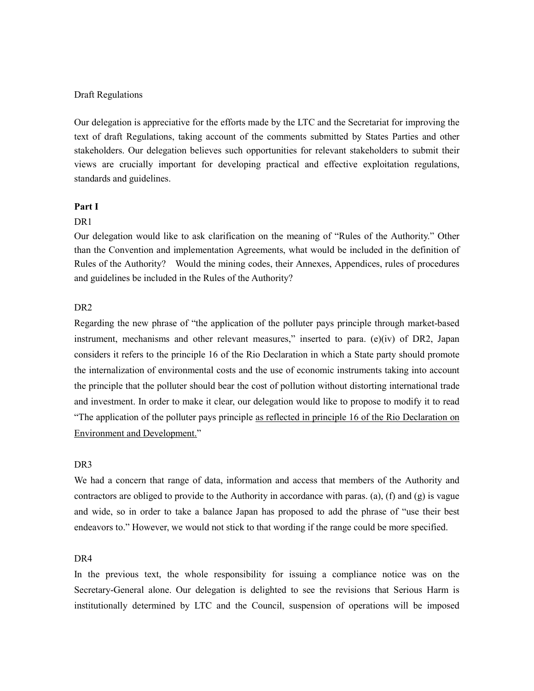#### Draft Regulations

Our delegation is appreciative for the efforts made by the LTC and the Secretariat for improving the text of draft Regulations, taking account of the comments submitted by States Parties and other stakeholders. Our delegation believes such opportunities for relevant stakeholders to submit their views are crucially important for developing practical and effective exploitation regulations, standards and guidelines.

#### **Part I**

#### D<sub>R</sub>1

Our delegation would like to ask clarification on the meaning of "Rules of the Authority." Other than the Convention and implementation Agreements, what would be included in the definition of Rules of the Authority? Would the mining codes, their Annexes, Appendices, rules of procedures and guidelines be included in the Rules of the Authority?

## DR2

Regarding the new phrase of "the application of the polluter pays principle through market-based instrument, mechanisms and other relevant measures," inserted to para.  $(e)(iv)$  of DR2, Japan considers it refers to the principle 16 of the Rio Declaration in which a State party should promote the internalization of environmental costs and the use of economic instruments taking into account the principle that the polluter should bear the cost of pollution without distorting international trade and investment. In order to make it clear, our delegation would like to propose to modify it to read "The application of the polluter pays principle as reflected in principle 16 of the Rio Declaration on Environment and Development."

# DR3

We had a concern that range of data, information and access that members of the Authority and contractors are obliged to provide to the Authority in accordance with paras. (a), (f) and (g) is vague and wide, so in order to take a balance Japan has proposed to add the phrase of "use their best endeavors to." However, we would not stick to that wording if the range could be more specified.

### D<sub>R</sub>4

In the previous text, the whole responsibility for issuing a compliance notice was on the Secretary-General alone. Our delegation is delighted to see the revisions that Serious Harm is institutionally determined by LTC and the Council, suspension of operations will be imposed